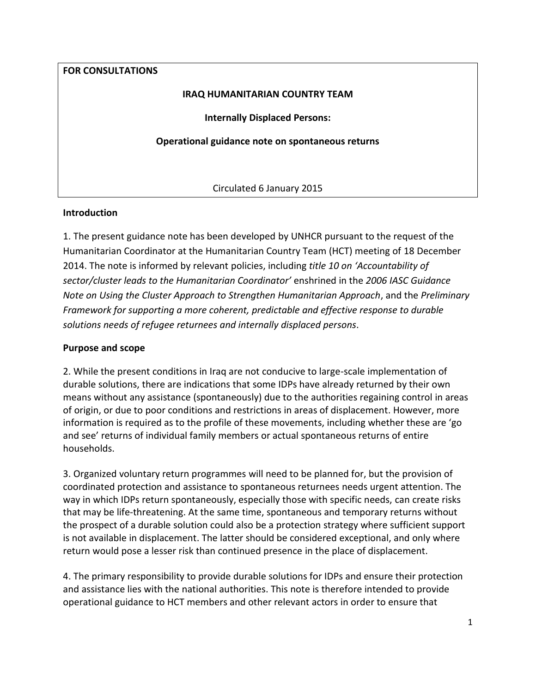## **FOR CONSULTATIONS**

### **IRAQ HUMANITARIAN COUNTRY TEAM**

**Internally Displaced Persons:**

**Operational guidance note on spontaneous returns**

Circulated 6 January 2015

#### **Introduction**

1. The present guidance note has been developed by UNHCR pursuant to the request of the Humanitarian Coordinator at the Humanitarian Country Team (HCT) meeting of 18 December 2014. The note is informed by relevant policies, including *title 10 on 'Accountability of sector/cluster leads to the Humanitarian Coordinator'* enshrined in the *2006 IASC Guidance Note on Using the Cluster Approach to Strengthen Humanitarian Approach*, and the *Preliminary Framework for supporting a more coherent, predictable and effective response to durable solutions needs of refugee returnees and internally displaced persons*.

## **Purpose and scope**

2. While the present conditions in Iraq are not conducive to large-scale implementation of durable solutions, there are indications that some IDPs have already returned by their own means without any assistance (spontaneously) due to the authorities regaining control in areas of origin, or due to poor conditions and restrictions in areas of displacement. However, more information is required as to the profile of these movements, including whether these are 'go and see' returns of individual family members or actual spontaneous returns of entire households.

3. Organized voluntary return programmes will need to be planned for, but the provision of coordinated protection and assistance to spontaneous returnees needs urgent attention. The way in which IDPs return spontaneously, especially those with specific needs, can create risks that may be life-threatening. At the same time, spontaneous and temporary returns without the prospect of a durable solution could also be a protection strategy where sufficient support is not available in displacement. The latter should be considered exceptional, and only where return would pose a lesser risk than continued presence in the place of displacement.

4. The primary responsibility to provide durable solutions for IDPs and ensure their protection and assistance lies with the national authorities. This note is therefore intended to provide operational guidance to HCT members and other relevant actors in order to ensure that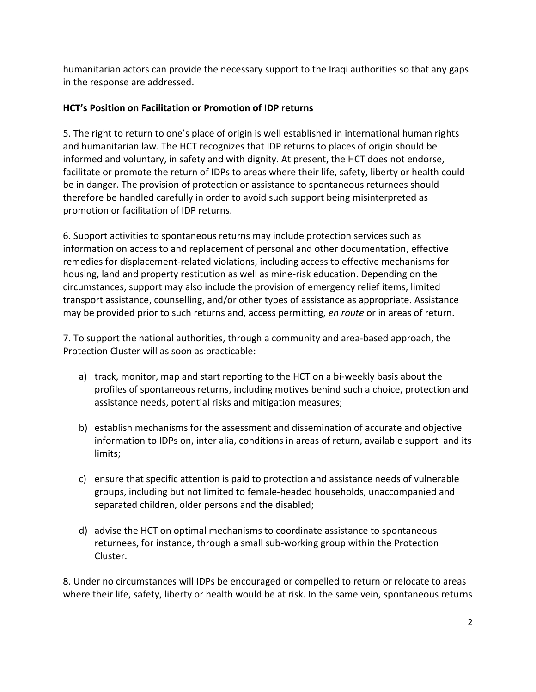humanitarian actors can provide the necessary support to the Iraqi authorities so that any gaps in the response are addressed.

# **HCT's Position on Facilitation or Promotion of IDP returns**

5. The right to return to one's place of origin is well established in international human rights and humanitarian law. The HCT recognizes that IDP returns to places of origin should be informed and voluntary, in safety and with dignity. At present, the HCT does not endorse, facilitate or promote the return of IDPs to areas where their life, safety, liberty or health could be in danger. The provision of protection or assistance to spontaneous returnees should therefore be handled carefully in order to avoid such support being misinterpreted as promotion or facilitation of IDP returns.

6. Support activities to spontaneous returns may include protection services such as information on access to and replacement of personal and other documentation, effective remedies for displacement-related violations, including access to effective mechanisms for housing, land and property restitution as well as mine-risk education. Depending on the circumstances, support may also include the provision of emergency relief items, limited transport assistance, counselling, and/or other types of assistance as appropriate. Assistance may be provided prior to such returns and, access permitting, *en route* or in areas of return.

7. To support the national authorities, through a community and area-based approach, the Protection Cluster will as soon as practicable:

- a) track, monitor, map and start reporting to the HCT on a bi-weekly basis about the profiles of spontaneous returns, including motives behind such a choice, protection and assistance needs, potential risks and mitigation measures;
- b) establish mechanisms for the assessment and dissemination of accurate and objective information to IDPs on, inter alia, conditions in areas of return, available support and its limits;
- c) ensure that specific attention is paid to protection and assistance needs of vulnerable groups, including but not limited to female-headed households, unaccompanied and separated children, older persons and the disabled;
- d) advise the HCT on optimal mechanisms to coordinate assistance to spontaneous returnees, for instance, through a small sub-working group within the Protection Cluster.

8. Under no circumstances will IDPs be encouraged or compelled to return or relocate to areas where their life, safety, liberty or health would be at risk. In the same vein, spontaneous returns